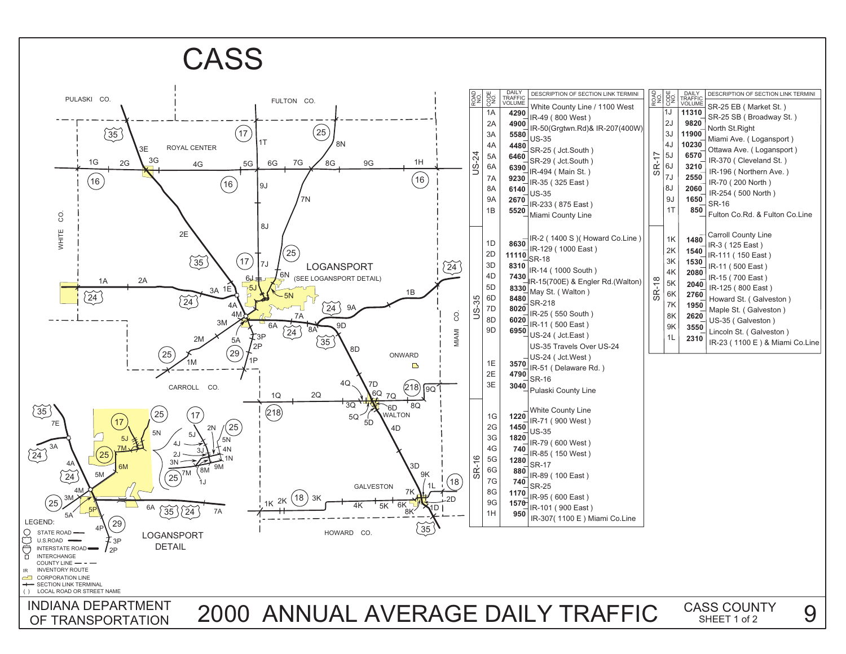